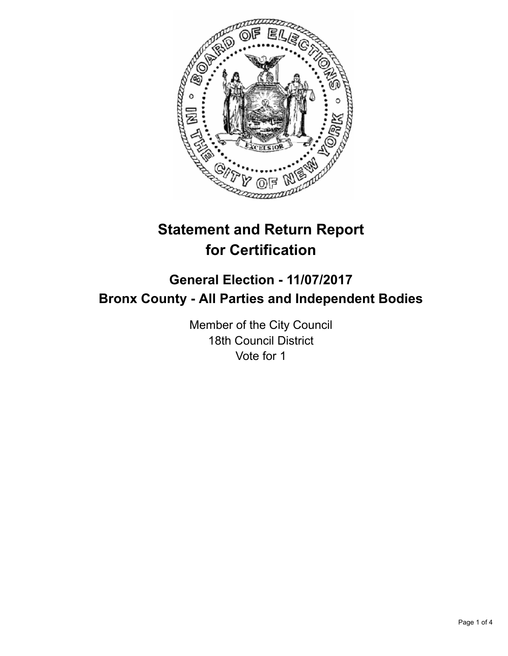

# **Statement and Return Report for Certification**

# **General Election - 11/07/2017 Bronx County - All Parties and Independent Bodies**

Member of the City Council 18th Council District Vote for 1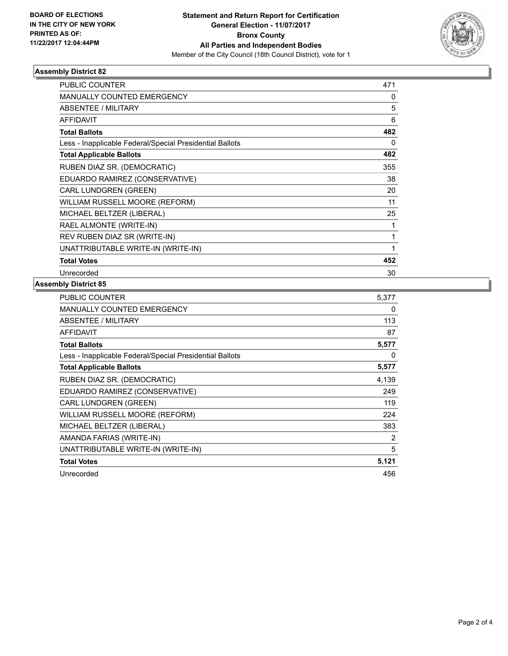

## **Assembly District 82**

| <b>PUBLIC COUNTER</b>                                    | 471 |
|----------------------------------------------------------|-----|
| <b>MANUALLY COUNTED EMERGENCY</b>                        | 0   |
| ABSENTEE / MILITARY                                      | 5   |
| <b>AFFIDAVIT</b>                                         | 6   |
| <b>Total Ballots</b>                                     | 482 |
| Less - Inapplicable Federal/Special Presidential Ballots | 0   |
| <b>Total Applicable Ballots</b>                          | 482 |
| RUBEN DIAZ SR. (DEMOCRATIC)                              | 355 |
| EDUARDO RAMIREZ (CONSERVATIVE)                           | 38  |
| CARL LUNDGREN (GREEN)                                    | 20  |
| WILLIAM RUSSELL MOORE (REFORM)                           | 11  |
| MICHAEL BELTZER (LIBERAL)                                | 25  |
| RAEL ALMONTE (WRITE-IN)                                  | 1   |
| REV RUBEN DIAZ SR (WRITE-IN)                             | 1   |
| UNATTRIBUTABLE WRITE-IN (WRITE-IN)                       | 1   |
| <b>Total Votes</b>                                       | 452 |
| Unrecorded                                               | 30  |

#### **Assembly District 85**

| <b>PUBLIC COUNTER</b>                                    | 5,377 |
|----------------------------------------------------------|-------|
| <b>MANUALLY COUNTED EMERGENCY</b>                        | 0     |
| ABSENTEE / MILITARY                                      | 113   |
| <b>AFFIDAVIT</b>                                         | 87    |
| <b>Total Ballots</b>                                     | 5,577 |
| Less - Inapplicable Federal/Special Presidential Ballots | 0     |
| <b>Total Applicable Ballots</b>                          | 5,577 |
| RUBEN DIAZ SR. (DEMOCRATIC)                              | 4,139 |
| EDUARDO RAMIREZ (CONSERVATIVE)                           | 249   |
| CARL LUNDGREN (GREEN)                                    | 119   |
| WILLIAM RUSSELL MOORE (REFORM)                           | 224   |
| MICHAEL BELTZER (LIBERAL)                                | 383   |
| AMANDA FARIAS (WRITE-IN)                                 | 2     |
| UNATTRIBUTABLE WRITE-IN (WRITE-IN)                       | 5     |
| <b>Total Votes</b>                                       | 5,121 |
| Unrecorded                                               | 456   |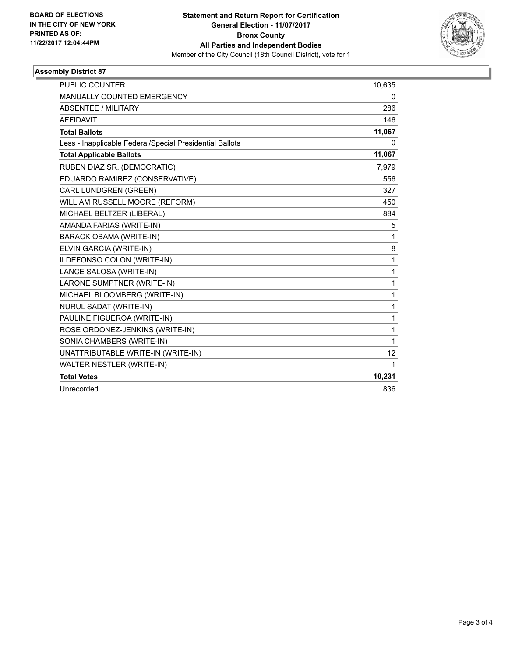

## **Assembly District 87**

| <b>PUBLIC COUNTER</b>                                    | 10,635 |
|----------------------------------------------------------|--------|
| MANUALLY COUNTED EMERGENCY                               | 0      |
| <b>ABSENTEE / MILITARY</b>                               | 286    |
| <b>AFFIDAVIT</b>                                         | 146    |
| <b>Total Ballots</b>                                     | 11,067 |
| Less - Inapplicable Federal/Special Presidential Ballots | 0      |
| <b>Total Applicable Ballots</b>                          | 11,067 |
| RUBEN DIAZ SR. (DEMOCRATIC)                              | 7,979  |
| EDUARDO RAMIREZ (CONSERVATIVE)                           | 556    |
| CARL LUNDGREN (GREEN)                                    | 327    |
| WILLIAM RUSSELL MOORE (REFORM)                           | 450    |
| MICHAEL BELTZER (LIBERAL)                                | 884    |
| AMANDA FARIAS (WRITE-IN)                                 | 5      |
| <b>BARACK OBAMA (WRITE-IN)</b>                           | 1      |
| ELVIN GARCIA (WRITE-IN)                                  | 8      |
| ILDEFONSO COLON (WRITE-IN)                               | 1      |
| LANCE SALOSA (WRITE-IN)                                  | 1      |
| LARONE SUMPTNER (WRITE-IN)                               | 1      |
| MICHAEL BLOOMBERG (WRITE-IN)                             | 1      |
| NURUL SADAT (WRITE-IN)                                   | 1      |
| PAULINE FIGUEROA (WRITE-IN)                              | 1      |
| ROSE ORDONEZ-JENKINS (WRITE-IN)                          | 1      |
| SONIA CHAMBERS (WRITE-IN)                                | 1      |
| UNATTRIBUTABLE WRITE-IN (WRITE-IN)                       | 12     |
| WALTER NESTLER (WRITE-IN)                                | 1      |
| <b>Total Votes</b>                                       | 10,231 |
| Unrecorded                                               | 836    |